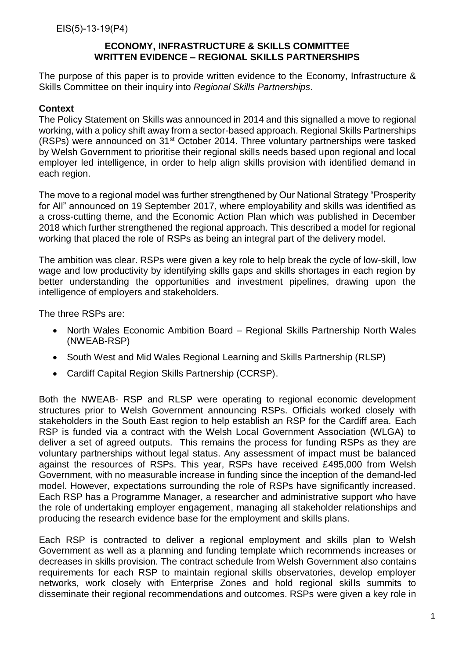The purpose of this paper is to provide written evidence to the Economy, Infrastructure & Skills Committee on their inquiry into *Regional Skills Partnerships*.

# **Context**

The Policy Statement on Skills was announced in 2014 and this signalled a move to regional working, with a policy shift away from a sector-based approach. Regional Skills Partnerships (RSPs) were announced on 31st October 2014. Three voluntary partnerships were tasked by Welsh Government to prioritise their regional skills needs based upon regional and local employer led intelligence, in order to help align skills provision with identified demand in each region.

The move to a regional model was further strengthened by Our National Strategy "Prosperity for All" announced on 19 September 2017, where employability and skills was identified as a cross-cutting theme, and the Economic Action Plan which was published in December 2018 which further strengthened the regional approach. This described a model for regional working that placed the role of RSPs as being an integral part of the delivery model.

The ambition was clear. RSPs were given a key role to help break the cycle of low-skill, low wage and low productivity by identifying skills gaps and skills shortages in each region by better understanding the opportunities and investment pipelines, drawing upon the intelligence of employers and stakeholders.

The three RSPs are:

- North Wales Economic Ambition Board Regional Skills Partnership North Wales (NWEAB-RSP)
- South West and Mid Wales Regional Learning and Skills Partnership (RLSP)
- Cardiff Capital Region Skills Partnership (CCRSP).

Both the NWEAB- RSP and RLSP were operating to regional economic development structures prior to Welsh Government announcing RSPs. Officials worked closely with stakeholders in the South East region to help establish an RSP for the Cardiff area. Each RSP is funded via a contract with the Welsh Local Government Association (WLGA) to deliver a set of agreed outputs. This remains the process for funding RSPs as they are voluntary partnerships without legal status. Any assessment of impact must be balanced against the resources of RSPs. This year, RSPs have received £495,000 from Welsh Government, with no measurable increase in funding since the inception of the demand-led model. However, expectations surrounding the role of RSPs have significantly increased. Each RSP has a Programme Manager, a researcher and administrative support who have the role of undertaking employer engagement, managing all stakeholder relationships and producing the research evidence base for the employment and skills plans.

Each RSP is contracted to deliver a regional employment and skills plan to Welsh Government as well as a planning and funding template which recommends increases or decreases in skills provision. The contract schedule from Welsh Government also contains requirements for each RSP to maintain regional skills observatories, develop employer networks, work closely with Enterprise Zones and hold regional skills summits to disseminate their regional recommendations and outcomes. RSPs were given a key role in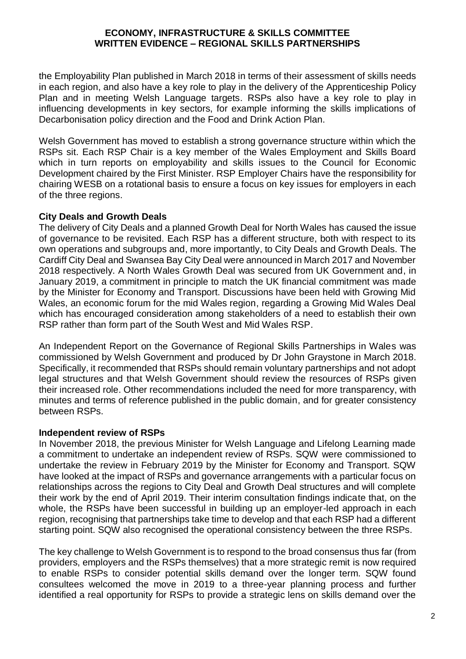the Employability Plan published in March 2018 in terms of their assessment of skills needs in each region, and also have a key role to play in the delivery of the Apprenticeship Policy Plan and in meeting Welsh Language targets. RSPs also have a key role to play in influencing developments in key sectors, for example informing the skills implications of Decarbonisation policy direction and the Food and Drink Action Plan.

Welsh Government has moved to establish a strong governance structure within which the RSPs sit. Each RSP Chair is a key member of the Wales Employment and Skills Board which in turn reports on employability and skills issues to the Council for Economic Development chaired by the First Minister. RSP Employer Chairs have the responsibility for chairing WESB on a rotational basis to ensure a focus on key issues for employers in each of the three regions.

# **City Deals and Growth Deals**

The delivery of City Deals and a planned Growth Deal for North Wales has caused the issue of governance to be revisited. Each RSP has a different structure, both with respect to its own operations and subgroups and, more importantly, to City Deals and Growth Deals. The Cardiff City Deal and Swansea Bay City Deal were announced in March 2017 and November 2018 respectively. A North Wales Growth Deal was secured from UK Government and, in January 2019, a commitment in principle to match the UK financial commitment was made by the Minister for Economy and Transport. Discussions have been held with Growing Mid Wales, an economic forum for the mid Wales region, regarding a Growing Mid Wales Deal which has encouraged consideration among stakeholders of a need to establish their own RSP rather than form part of the South West and Mid Wales RSP.

An Independent Report on the Governance of Regional Skills Partnerships in Wales was commissioned by Welsh Government and produced by Dr John Graystone in March 2018. Specifically, it recommended that RSPs should remain voluntary partnerships and not adopt legal structures and that Welsh Government should review the resources of RSPs given their increased role. Other recommendations included the need for more transparency, with minutes and terms of reference published in the public domain, and for greater consistency between RSPs.

#### **Independent review of RSPs**

In November 2018, the previous Minister for Welsh Language and Lifelong Learning made a commitment to undertake an independent review of RSPs. SQW were commissioned to undertake the review in February 2019 by the Minister for Economy and Transport. SQW have looked at the impact of RSPs and governance arrangements with a particular focus on relationships across the regions to City Deal and Growth Deal structures and will complete their work by the end of April 2019. Their interim consultation findings indicate that, on the whole, the RSPs have been successful in building up an employer-led approach in each region, recognising that partnerships take time to develop and that each RSP had a different starting point. SQW also recognised the operational consistency between the three RSPs.

The key challenge to Welsh Government is to respond to the broad consensus thus far (from providers, employers and the RSPs themselves) that a more strategic remit is now required to enable RSPs to consider potential skills demand over the longer term. SQW found consultees welcomed the move in 2019 to a three-year planning process and further identified a real opportunity for RSPs to provide a strategic lens on skills demand over the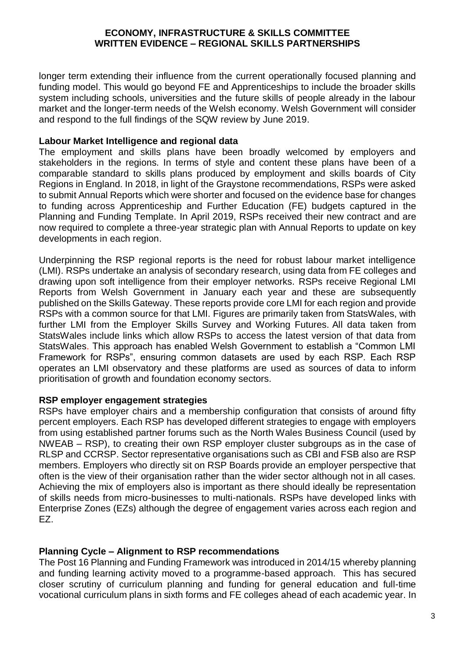longer term extending their influence from the current operationally focused planning and funding model. This would go beyond FE and Apprenticeships to include the broader skills system including schools, universities and the future skills of people already in the labour market and the longer-term needs of the Welsh economy. Welsh Government will consider and respond to the full findings of the SQW review by June 2019.

#### **Labour Market Intelligence and regional data**

The employment and skills plans have been broadly welcomed by employers and stakeholders in the regions. In terms of style and content these plans have been of a comparable standard to skills plans produced by employment and skills boards of City Regions in England. In 2018, in light of the Graystone recommendations, RSPs were asked to submit Annual Reports which were shorter and focused on the evidence base for changes to funding across Apprenticeship and Further Education (FE) budgets captured in the Planning and Funding Template. In April 2019, RSPs received their new contract and are now required to complete a three-year strategic plan with Annual Reports to update on key developments in each region.

Underpinning the RSP regional reports is the need for robust labour market intelligence (LMI). RSPs undertake an analysis of secondary research, using data from FE colleges and drawing upon soft intelligence from their employer networks. RSPs receive Regional LMI Reports from Welsh Government in January each year and these are subsequently published on the Skills Gateway. These reports provide core LMI for each region and provide RSPs with a common source for that LMI. Figures are primarily taken from StatsWales, with further LMI from the Employer Skills Survey and Working Futures. All data taken from StatsWales include links which allow RSPs to access the latest version of that data from StatsWales. This approach has enabled Welsh Government to establish a "Common LMI Framework for RSPs", ensuring common datasets are used by each RSP. Each RSP operates an LMI observatory and these platforms are used as sources of data to inform prioritisation of growth and foundation economy sectors.

# **RSP employer engagement strategies**

RSPs have employer chairs and a membership configuration that consists of around fifty percent employers. Each RSP has developed different strategies to engage with employers from using established partner forums such as the North Wales Business Council (used by NWEAB – RSP), to creating their own RSP employer cluster subgroups as in the case of RLSP and CCRSP. Sector representative organisations such as CBI and FSB also are RSP members. Employers who directly sit on RSP Boards provide an employer perspective that often is the view of their organisation rather than the wider sector although not in all cases. Achieving the mix of employers also is important as there should ideally be representation of skills needs from micro-businesses to multi-nationals. RSPs have developed links with Enterprise Zones (EZs) although the degree of engagement varies across each region and EZ.

# **Planning Cycle – Alignment to RSP recommendations**

The Post 16 Planning and Funding Framework was introduced in 2014/15 whereby planning and funding learning activity moved to a programme-based approach. This has secured closer scrutiny of curriculum planning and funding for general education and full-time vocational curriculum plans in sixth forms and FE colleges ahead of each academic year. In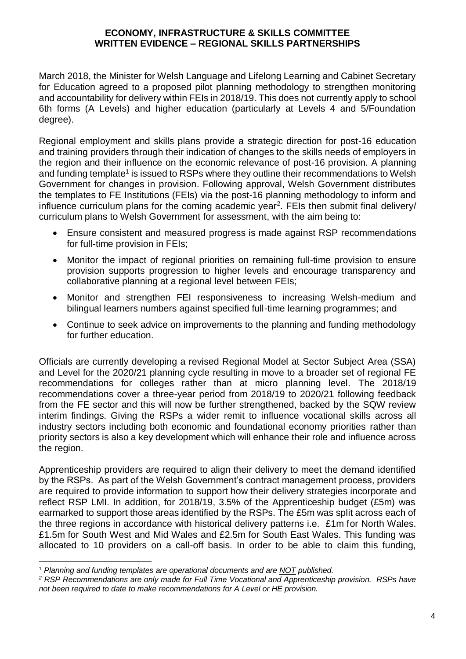March 2018, the Minister for Welsh Language and Lifelong Learning and Cabinet Secretary for Education agreed to a proposed pilot planning methodology to strengthen monitoring and accountability for delivery within FEIs in 2018/19. This does not currently apply to school 6th forms (A Levels) and higher education (particularly at Levels 4 and 5/Foundation degree).

Regional employment and skills plans provide a strategic direction for post-16 education and training providers through their indication of changes to the skills needs of employers in the region and their influence on the economic relevance of post-16 provision. A planning and funding template<sup>1</sup> is issued to RSPs where they outline their recommendations to Welsh Government for changes in provision. Following approval, Welsh Government distributes the templates to FE Institutions (FEIs) via the post-16 planning methodology to inform and influence curriculum plans for the coming academic year<sup>2</sup>. FEIs then submit final delivery/ curriculum plans to Welsh Government for assessment, with the aim being to:

- Ensure consistent and measured progress is made against RSP recommendations for full-time provision in FEIs;
- Monitor the impact of regional priorities on remaining full-time provision to ensure provision supports progression to higher levels and encourage transparency and collaborative planning at a regional level between FEIs;
- Monitor and strengthen FEI responsiveness to increasing Welsh-medium and bilingual learners numbers against specified full-time learning programmes; and
- Continue to seek advice on improvements to the planning and funding methodology for further education.

Officials are currently developing a revised Regional Model at Sector Subject Area (SSA) and Level for the 2020/21 planning cycle resulting in move to a broader set of regional FE recommendations for colleges rather than at micro planning level. The 2018/19 recommendations cover a three-year period from 2018/19 to 2020/21 following feedback from the FE sector and this will now be further strengthened, backed by the SQW review interim findings. Giving the RSPs a wider remit to influence vocational skills across all industry sectors including both economic and foundational economy priorities rather than priority sectors is also a key development which will enhance their role and influence across the region.

Apprenticeship providers are required to align their delivery to meet the demand identified by the RSPs. As part of the Welsh Government's contract management process, providers are required to provide information to support how their delivery strategies incorporate and reflect RSP LMI. In addition, for 2018/19, 3.5% of the Apprenticeship budget (£5m) was earmarked to support those areas identified by the RSPs. The £5m was split across each of the three regions in accordance with historical delivery patterns i.e. £1m for North Wales. £1.5m for South West and Mid Wales and £2.5m for South East Wales. This funding was allocated to 10 providers on a call-off basis. In order to be able to claim this funding,

l <sup>1</sup> *Planning and funding templates are operational documents and are NOT published.*

*<sup>2</sup> RSP Recommendations are only made for Full Time Vocational and Apprenticeship provision. RSPs have not been required to date to make recommendations for A Level or HE provision.*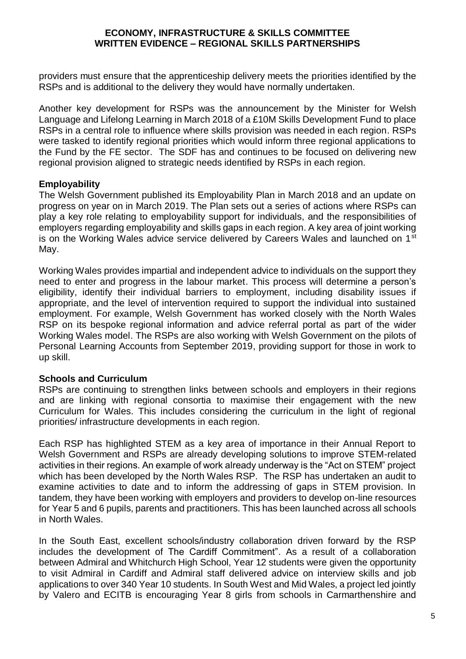providers must ensure that the apprenticeship delivery meets the priorities identified by the RSPs and is additional to the delivery they would have normally undertaken.

Another key development for RSPs was the announcement by the Minister for Welsh Language and Lifelong Learning in March 2018 of a £10M Skills Development Fund to place RSPs in a central role to influence where skills provision was needed in each region. RSPs were tasked to identify regional priorities which would inform three regional applications to the Fund by the FE sector. The SDF has and continues to be focused on delivering new regional provision aligned to strategic needs identified by RSPs in each region.

# **Employability**

The Welsh Government published its Employability Plan in March 2018 and an update on progress on year on in March 2019. The Plan sets out a series of actions where RSPs can play a key role relating to employability support for individuals, and the responsibilities of employers regarding employability and skills gaps in each region. A key area of joint working is on the Working Wales advice service delivered by Careers Wales and launched on 1<sup>st</sup> May.

Working Wales provides impartial and independent advice to individuals on the support they need to enter and progress in the labour market. This process will determine a person's eligibility, identify their individual barriers to employment, including disability issues if appropriate, and the level of intervention required to support the individual into sustained employment. For example, Welsh Government has worked closely with the North Wales RSP on its bespoke regional information and advice referral portal as part of the wider Working Wales model. The RSPs are also working with Welsh Government on the pilots of Personal Learning Accounts from September 2019, providing support for those in work to up skill.

# **Schools and Curriculum**

RSPs are continuing to strengthen links between schools and employers in their regions and are linking with regional consortia to maximise their engagement with the new Curriculum for Wales. This includes considering the curriculum in the light of regional priorities/ infrastructure developments in each region.

Each RSP has highlighted STEM as a key area of importance in their Annual Report to Welsh Government and RSPs are already developing solutions to improve STEM-related activities in their regions. An example of work already underway is the "Act on STEM" project which has been developed by the North Wales RSP. The RSP has undertaken an audit to examine activities to date and to inform the addressing of gaps in STEM provision. In tandem, they have been working with employers and providers to develop on-line resources for Year 5 and 6 pupils, parents and practitioners. This has been launched across all schools in North Wales.

In the South East, excellent schools/industry collaboration driven forward by the RSP includes the development of The Cardiff Commitment". As a result of a collaboration between Admiral and Whitchurch High School, Year 12 students were given the opportunity to visit Admiral in Cardiff and Admiral staff delivered advice on interview skills and job applications to over 340 Year 10 students. In South West and Mid Wales, a project led jointly by Valero and ECITB is encouraging Year 8 girls from schools in Carmarthenshire and